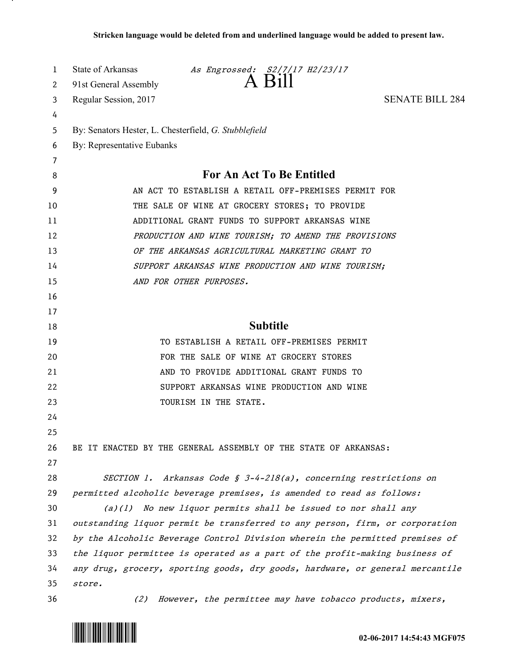| 1      | State of Arkansas<br>As Engrossed: S2/7/17 H2/23/17                           |
|--------|-------------------------------------------------------------------------------|
| 2      | 91st General Assembly                                                         |
| 3      | <b>SENATE BILL 284</b><br>Regular Session, 2017                               |
| 4      |                                                                               |
| 5      | By: Senators Hester, L. Chesterfield, G. Stubblefield                         |
| 6      | By: Representative Eubanks                                                    |
| 7<br>8 | For An Act To Be Entitled                                                     |
| 9      | AN ACT TO ESTABLISH A RETAIL OFF-PREMISES PERMIT FOR                          |
| 10     | THE SALE OF WINE AT GROCERY STORES; TO PROVIDE                                |
| 11     | ADDITIONAL GRANT FUNDS TO SUPPORT ARKANSAS WINE                               |
| 12     | PRODUCTION AND WINE TOURISM; TO AMEND THE PROVISIONS                          |
| 13     | OF THE ARKANSAS AGRICULTURAL MARKETING GRANT TO                               |
| 14     | SUPPORT ARKANSAS WINE PRODUCTION AND WINE TOURISM;                            |
| 15     | AND FOR OTHER PURPOSES.                                                       |
| 16     |                                                                               |
| 17     |                                                                               |
| 18     | <b>Subtitle</b>                                                               |
| 19     | TO ESTABLISH A RETAIL OFF-PREMISES PERMIT                                     |
| 20     | FOR THE SALE OF WINE AT GROCERY STORES                                        |
| 21     | AND TO PROVIDE ADDITIONAL GRANT FUNDS TO                                      |
| 22     | SUPPORT ARKANSAS WINE PRODUCTION AND WINE                                     |
| 23     | TOURISM IN THE STATE.                                                         |
| 24     |                                                                               |
| 25     |                                                                               |
| 26     | BE IT ENACTED BY THE GENERAL ASSEMBLY OF THE STATE OF ARKANSAS:               |
| 27     |                                                                               |
| 28     | SECTION 1. Arkansas Code § 3-4-218(a), concerning restrictions on             |
| 29     | permitted alcoholic beverage premises, is amended to read as follows:         |
| 30     | $(a)(1)$ No new liquor permits shall be issued to nor shall any               |
| 31     | outstanding liquor permit be transferred to any person, firm, or corporation  |
| 32     | by the Alcoholic Beverage Control Division wherein the permitted premises of  |
| 33     | the liquor permittee is operated as a part of the profit-making business of   |
| 34     | any drug, grocery, sporting goods, dry goods, hardware, or general mercantile |
| 35     | store.                                                                        |
| 36     | However, the permittee may have tobacco products, mixers,<br>(2)              |



<u>. на п</u>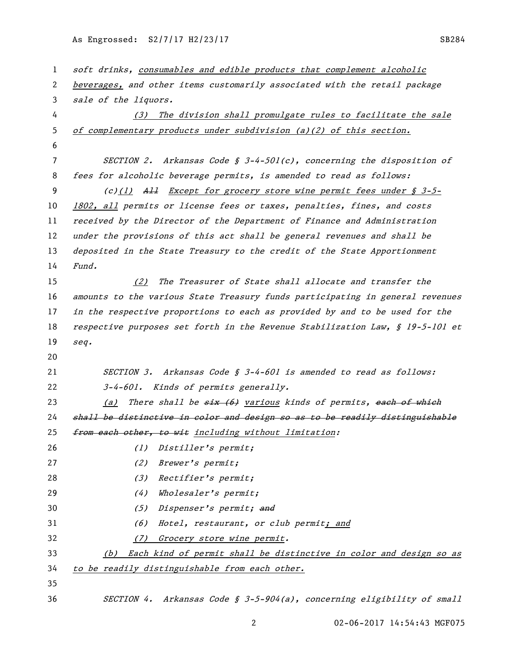| 1  | soft drinks, consumables and edible products that complement alcoholic        |
|----|-------------------------------------------------------------------------------|
| 2  | beverages, and other items customarily associated with the retail package     |
| 3  | sale of the liquors.                                                          |
| 4  | (3) The division shall promulgate rules to facilitate the sale                |
| 5  | of complementary products under subdivision (a)(2) of this section.           |
| 6  |                                                                               |
| 7  | SECTION 2. Arkansas Code § 3-4-501(c), concerning the disposition of          |
| 8  | fees for alcoholic beverage permits, is amended to read as follows:           |
| 9  | $(c)(1)$ All Except for grocery store wine permit fees under § 3-5-           |
| 10 | 1802, all permits or license fees or taxes, penalties, fines, and costs       |
| 11 | received by the Director of the Department of Finance and Administration      |
| 12 | under the provisions of this act shall be general revenues and shall be       |
| 13 | deposited in the State Treasury to the credit of the State Apportionment      |
| 14 | Fund.                                                                         |
| 15 | The Treasurer of State shall allocate and transfer the<br>(2)                 |
| 16 | amounts to the various State Treasury funds participating in general revenues |
| 17 | in the respective proportions to each as provided by and to be used for the   |
| 18 | respective purposes set forth in the Revenue Stabilization Law, § 19-5-101 et |
| 19 | seq.                                                                          |
| 20 |                                                                               |
| 21 | SECTION 3. Arkansas Code § 3-4-601 is amended to read as follows:             |
| 22 | 3-4-601. Kinds of permits generally.                                          |
| 23 | There shall be $six (6)$ various kinds of permits, each of which<br>(a)       |
| 24 | shall be distinctive in color and design so as to be readily distinguishable  |
| 25 | from each other, to wit including without limitation:                         |
| 26 | Distiller's permit;<br>(1)                                                    |
| 27 | (2)<br>Brewer's permit;                                                       |
| 28 | (3)<br>Rectifier's permit;                                                    |
| 29 | (4)<br>Wholesaler's permit;                                                   |
| 30 | (5)<br>Dispenser's permit; and                                                |
| 31 | Hotel, restaurant, or club permit; and<br>(6)                                 |
| 32 | Grocery store wine permit.<br>(7)                                             |
| 33 | Each kind of permit shall be distinctive in color and design so as<br>(b)     |
| 34 | to be readily distinguishable from each other.                                |
| 35 |                                                                               |
| 36 | SECTION 4. Arkansas Code § 3-5-904(a), concerning eligibility of small        |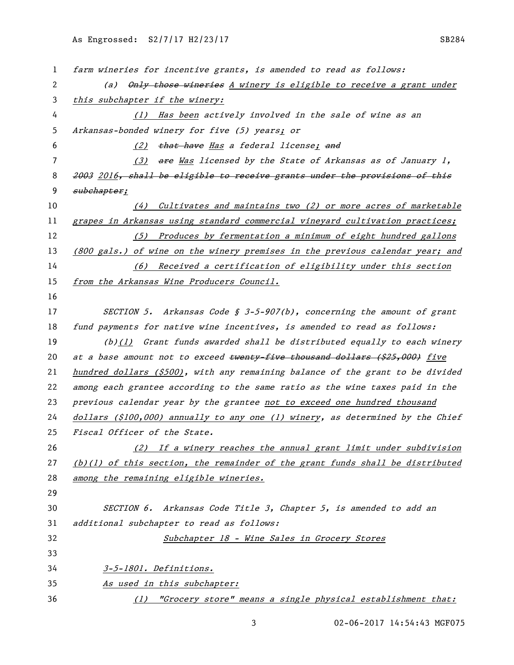| 1  | farm wineries for incentive grants, is amended to read as follows:               |
|----|----------------------------------------------------------------------------------|
| 2  | (a) Only those wineries A winery is eligible to receive a grant under            |
| 3  | this subchapter if the winery:                                                   |
| 4  | (1) Has been actively involved in the sale of wine as an                         |
| 5  | Arkansas-bonded winery for five (5) years; or                                    |
| 6  | that have Has a federal license; and<br>(2)                                      |
| 7  | are Was licensed by the State of Arkansas as of January 1,<br>(3)                |
| 8  | 2003 2016, shall be eligible to receive grants under the provisions of this      |
| 9  | subchapter;                                                                      |
| 10 | $(4)$ Cultivates and maintains two (2) or more acres of marketable               |
| 11 | grapes in Arkansas using standard commercial vineyard cultivation practices;     |
| 12 | (5) Produces by fermentation a minimum of eight hundred gallons                  |
| 13 | (800 gals.) of wine on the winery premises in the previous calendar year; and    |
| 14 | <u>(6) Received a certification of eligibility under this section</u>            |
| 15 | from the Arkansas Wine Producers Council.                                        |
| 16 |                                                                                  |
| 17 | SECTION 5. Arkansas Code § 3-5-907(b), concerning the amount of grant            |
| 18 | fund payments for native wine incentives, is amended to read as follows:         |
| 19 | $(b)(1)$ Grant funds awarded shall be distributed equally to each winery         |
| 20 | at a base amount not to exceed twenty-five thousand dollars (\$25,000) five      |
| 21 | hundred dollars (\$500), with any remaining balance of the grant to be divided   |
| 22 | among each grantee according to the same ratio as the wine taxes paid in the     |
| 23 | previous calendar year by the grantee not to exceed one hundred thousand         |
| 24 | $dollars$ (\$100,000) annually to any one (1) winery, as determined by the Chief |
| 25 | Fiscal Officer of the State.                                                     |
| 26 | (2) If a winery reaches the annual grant limit under subdivision                 |
| 27 | $(b)(1)$ of this section, the remainder of the grant funds shall be distributed  |
| 28 | among the remaining eligible wineries.                                           |
| 29 |                                                                                  |
| 30 | SECTION 6. Arkansas Code Title 3, Chapter 5, is amended to add an                |
| 31 | additional subchapter to read as follows:                                        |
| 32 | Subchapter 18 - Wine Sales in Grocery Stores                                     |
| 33 |                                                                                  |
| 34 | 3-5-1801. Definitions.                                                           |
| 35 | <u>As used in this subchapter:</u>                                               |
| 36 | "Grocery store" means a single physical establishment that:<br>(1)               |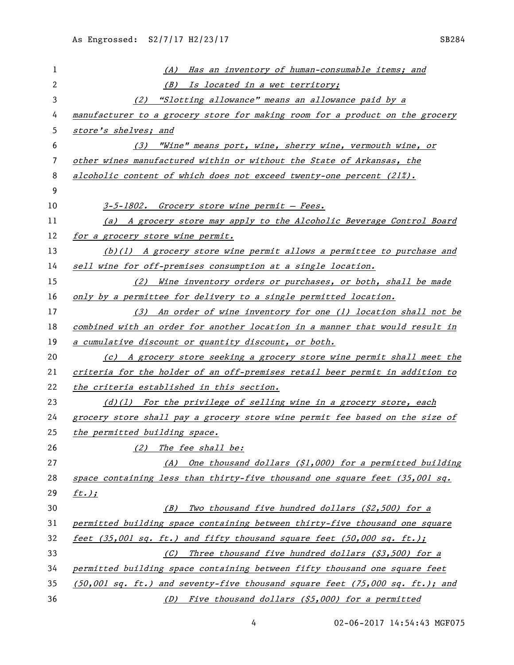| 1  | Has an inventory of human-consumable items; and<br>(A)                           |
|----|----------------------------------------------------------------------------------|
| 2  | Is located in a wet territory;<br>(B)                                            |
| 3  | (2) "Slotting allowance" means an allowance paid by a                            |
| 4  | manufacturer to a grocery store for making room for a product on the grocery     |
| 5  | store's shelves; and                                                             |
| 6  | (3) "Wine" means port, wine, sherry wine, vermouth wine, or                      |
| 7  | other wines manufactured within or without the State of Arkansas, the            |
| 8  | alcoholic content of which does not exceed twenty-one percent $(21\%)$ .         |
| 9  |                                                                                  |
| 10 | 3-5-1802. Grocery store wine permit - Fees.                                      |
| 11 | (a) A grocery store may apply to the Alcoholic Beverage Control Board            |
| 12 | for a grocery store wine permit.                                                 |
| 13 | (b)(1) A grocery store wine permit allows a permittee to purchase and            |
| 14 | sell wine for off-premises consumption at a single location.                     |
| 15 | (2) Wine inventory orders or purchases, or both, shall be made                   |
| 16 | only by a permittee for delivery to a single permitted location.                 |
| 17 | (3) An order of wine inventory for one (1) location shall not be                 |
| 18 | combined with an order for another location in a manner that would result in     |
| 19 | a cumulative discount or quantity discount, or both.                             |
| 20 | (c) A grocery store seeking a grocery store wine permit shall meet the           |
| 21 | criteria for the holder of an off-premises retail beer permit in addition to     |
| 22 | the criteria established in this section.                                        |
| 23 | $(d)(1)$ For the privilege of selling wine in a grocery store, each              |
| 24 | grocery store shall pay a grocery store wine permit fee based on the size of     |
| 25 | the permitted building space.                                                    |
| 26 | The fee shall be:<br>(2)                                                         |
| 27 | One thousand dollars (\$1,000) for a permitted building<br>(A)                   |
| 28 | space containing less than thirty-five thousand one square feet $(35,001 sq.$    |
| 29 | $ft.$ );                                                                         |
| 30 | Two thousand five hundred dollars (\$2,500) for a<br>(B)                         |
| 31 | permitted building space containing between thirty-five thousand one square      |
| 32 | feet (35,001 sq. ft.) and fifty thousand square feet (50,000 sq. ft.);           |
| 33 | Three thousand five hundred dollars (\$3,500) for a<br>(C)                       |
| 34 | permitted building space containing between fifty thousand one square feet       |
| 35 | $(50,001$ sq. ft.) and seventy-five thousand square feet $(75,000$ sq. ft.); and |
| 36 | Five thousand dollars (\$5,000) for a permitted<br>(D)                           |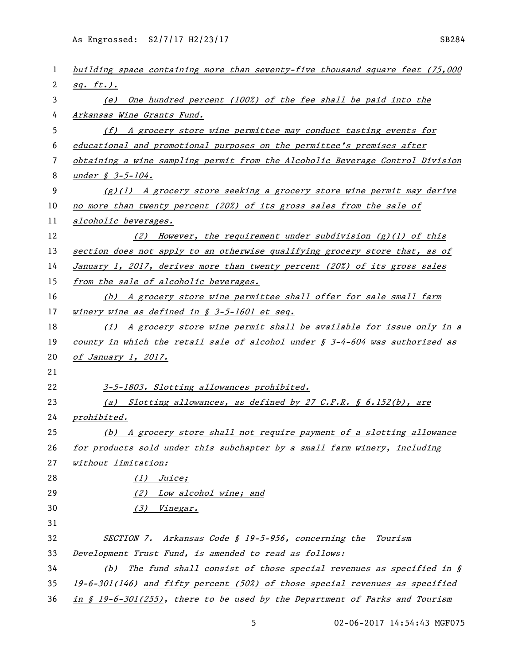| 1  | building space containing more than seventy-five thousand square feet (75,000            |
|----|------------------------------------------------------------------------------------------|
| 2  | $sg. ft.)$ .                                                                             |
| 3  | One hundred percent (100%) of the fee shall be paid into the<br>(e)                      |
| 4  | Arkansas Wine Grants Fund.                                                               |
| 5  | (f) A grocery store wine permittee may conduct tasting events for                        |
| 6  | educational and promotional purposes on the permittee's premises after                   |
| 7  | obtaining a wine sampling permit from the Alcoholic Beverage Control Division            |
| 8  | under $\oint 3-5-104$ .                                                                  |
| 9  | $(g)(1)$ A grocery store seeking a grocery store wine permit may derive                  |
| 10 | no more than twenty percent (20%) of its gross sales from the sale of                    |
| 11 | alcoholic beverages.                                                                     |
| 12 | (2) However, the requirement under subdivision $(g)(1)$ of this                          |
| 13 | section does not apply to an otherwise qualifying grocery store that, as of              |
| 14 | January 1, 2017, derives more than twenty percent (20%) of its gross sales               |
| 15 | from the sale of alcoholic beverages.                                                    |
| 16 | (h) A grocery store wine permittee shall offer for sale small farm                       |
| 17 | winery wine as defined in $\S$ 3-5-1601 et seq.                                          |
| 18 | (i) A grocery store wine permit shall be available for issue only in a                   |
| 19 | county in which the retail sale of alcohol under $\frac{s}{s}$ 3-4-604 was authorized as |
| 20 | of January 1, 2017.                                                                      |
| 21 |                                                                                          |
| 22 | 3-5-1803. Slotting allowances prohibited.                                                |
| 23 | (a) Slotting allowances, as defined by 27 C.F.R. $\oint$ 6.152(b), are                   |
| 24 | prohibited.                                                                              |
| 25 | (b) A grocery store shall not require payment of a slotting allowance                    |
| 26 | for products sold under this subchapter by a small farm winery, including                |
| 27 | without limitation:                                                                      |
| 28 | (1) Juice;                                                                               |
| 29 | Low alcohol wine; and<br>(2)                                                             |
| 30 | Vinegar.<br>(3)                                                                          |
| 31 |                                                                                          |
| 32 | SECTION 7. Arkansas Code § 19-5-956, concerning the Tourism                              |
| 33 | Development Trust Fund, is amended to read as follows:                                   |
| 34 | The fund shall consist of those special revenues as specified in $\S$<br>(b)             |
| 35 | $19-6-301(146)$ and fifty percent (50%) of those special revenues as specified           |
| 36 | in $$19-6-301(255)$ , there to be used by the Department of Parks and Tourism            |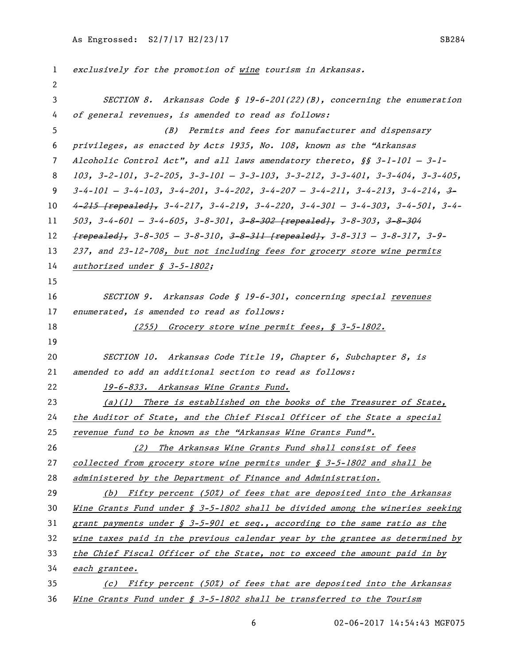exclusively for the promotion of wine tourism in Arkansas. SECTION 8. Arkansas Code § 19-6-201(22)(B), concerning the enumeration of general revenues, is amended to read as follows: (B) Permits and fees for manufacturer and dispensary privileges, as enacted by Acts 1935, No. 108, known as the "Arkansas Alcoholic Control Act", and all laws amendatory thereto, §§ 3-1-101 — 3-1- 103, 3-2-101, 3-2-205, 3-3-101 — 3-3-103, 3-3-212, 3-3-401, 3-3-404, 3-3-405,  $3-4-101 - 3-4-103$ ,  $3-4-201$ ,  $3-4-202$ ,  $3-4-207 - 3-4-211$ ,  $3-4-213$ ,  $3-4-214$ ,  $3 4-215$  [repealed],  $3-4-217$ ,  $3-4-219$ ,  $3-4-220$ ,  $3-4-301$  -  $3-4-303$ ,  $3-4-501$ ,  $3-4-501$ ,  $3-4-601 - 3-4-605$ ,  $3-8-301$ ,  $3-8-302$  [repealed],  $3-8-303$ ,  $3-8-304$  ${frepeated}$ , 3-8-305 - 3-8-310, 3-8-311  ${repeated}$ , 3-8-313 - 3-8-317, 3-9- 237, and 23-12-708, but not including fees for grocery store wine permits 14 authorized under § 3-5-1802; SECTION 9. Arkansas Code § 19-6-301, concerning special revenues 17 enumerated, is amended to read as follows: 18 (255) Grocery store wine permit fees, § 3-5-1802. 20 SECTION 10. Arkansas Code Title 19, Chapter 6, Subchapter 8, is 21 amended to add an additional section to read as follows: 22 19-6-833. Arkansas Wine Grants Fund. (a)(1) There is established on the books of the Treasurer of State, the Auditor of State, and the Chief Fiscal Officer of the State a special revenue fund to be known as the "Arkansas Wine Grants Fund". 26 (2) The Arkansas Wine Grants Fund shall consist of fees 27 collected from grocery store wine permits under  $\oint$  3-5-1802 and shall be administered by the Department of Finance and Administration. (b) Fifty percent (50%) of fees that are deposited into the Arkansas Wine Grants Fund under § 3-5-1802 shall be divided among the wineries seeking grant payments under § 3-5-901 et seq., according to the same ratio as the wine taxes paid in the previous calendar year by the grantee as determined by the Chief Fiscal Officer of the State, not to exceed the amount paid in by each grantee. (c) Fifty percent (50%) of fees that are deposited into the Arkansas Wine Grants Fund under § 3-5-1802 shall be transferred to the Tourism